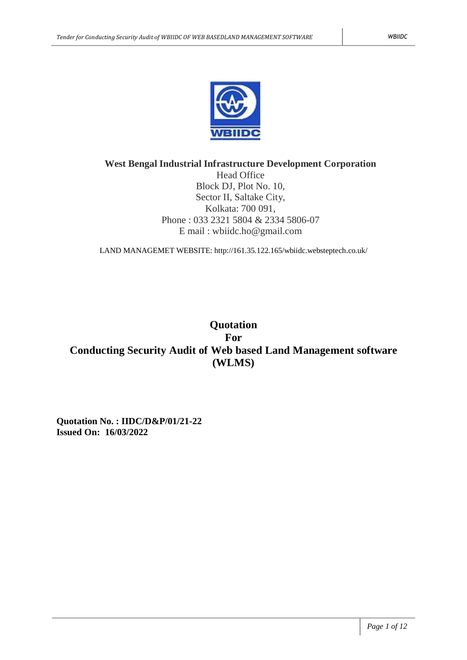

# **West Bengal Industrial Infrastructure Development Corporation**

Head Office Block DJ, Plot No. 10, Sector II, Saltake City, Kolkata: 700 091, Phone : 033 2321 5804 & 2334 5806-07 E mail : wbiidc.ho@gmail.com

LAND MANAGEMET WEBSITE: http://161.35.122.165/wbiidc.websteptech.co.uk/

# **Quotation For Conducting Security Audit of Web based Land Management software (WLMS)**

**Quotation No. : IIDC/D&P/01/21-22 Issued On: 16/03/2022**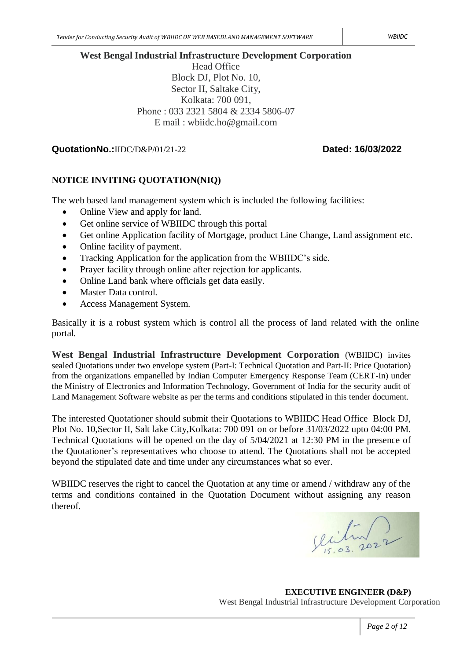## **West Bengal Industrial Infrastructure Development Corporation**

Head Office Block DJ, Plot No. 10, Sector II, Saltake City, Kolkata: 700 091, Phone : 033 2321 5804 & 2334 5806-07 E mail : wbiidc.ho@gmail.com

# **QuotationNo.:**IIDC/D&P/01/21-22 **Dated: 16/03/2022**

# **NOTICE INVITING QUOTATION(NIQ)**

The web based land management system which is included the following facilities:

- Online View and apply for land.
- Get online service of WBIIDC through this portal
- Get online Application facility of Mortgage, product Line Change, Land assignment etc.
- Online facility of payment.
- Tracking Application for the application from the WBIIDC's side.
- Prayer facility through online after rejection for applicants.
- Online Land bank where officials get data easily.
- Master Data control.
- Access Management System.

Basically it is a robust system which is control all the process of land related with the online portal.

**West Bengal Industrial Infrastructure Development Corporation** (WBIIDC) invites sealed Quotations under two envelope system (Part-I: Technical Quotation and Part-II: Price Quotation) from the organizations empanelled by Indian Computer Emergency Response Team (CERT-In) under the Ministry of Electronics and Information Technology, Government of India for the security audit of Land Management Software website as per the terms and conditions stipulated in this tender document.

The interested Quotationer should submit their Quotations to WBIIDC Head Office Block DJ, Plot No. 10,Sector II, Salt lake City,Kolkata: 700 091 on or before 31/03/2022 upto 04:00 PM. Technical Quotations will be opened on the day of 5/04/2021 at 12:30 PM in the presence of the Quotationer's representatives who choose to attend. The Quotations shall not be accepted beyond the stipulated date and time under any circumstances what so ever.

WBIIDC reserves the right to cancel the Quotation at any time or amend / withdraw any of the terms and conditions contained in the Quotation Document without assigning any reason thereof.

Jection

**EXECUTIVE ENGINEER (D&P)** West Bengal Industrial Infrastructure Development Corporation

*Page 2 of 12*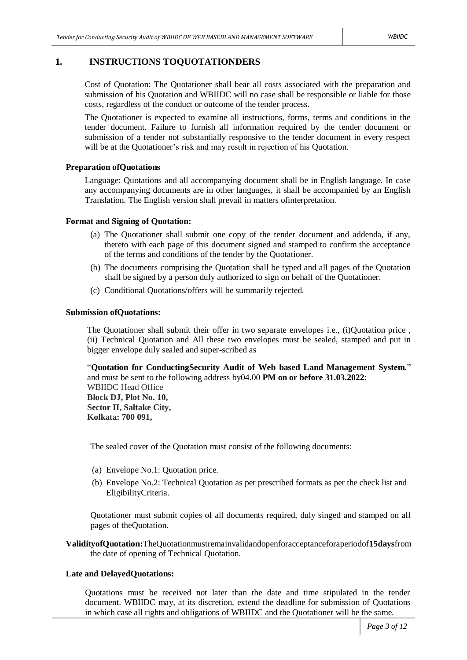#### **1. INSTRUCTIONS TOQUOTATIONDERS**

Cost of Quotation: The Quotationer shall bear all costs associated with the preparation and submission of his Quotation and WBIIDC will no case shall be responsible or liable for those costs, regardless of the conduct or outcome of the tender process.

The Quotationer is expected to examine all instructions, forms, terms and conditions in the tender document. Failure to furnish all information required by the tender document or submission of a tender not substantially responsive to the tender document in every respect will be at the Quotationer's risk and may result in rejection of his Quotation.

#### **Preparation ofQuotations**

Language: Quotations and all accompanying document shall be in English language. In case any accompanying documents are in other languages, it shall be accompanied by an English Translation. The English version shall prevail in matters ofinterpretation.

#### **Format and Signing of Quotation:**

- (a) The Quotationer shall submit one copy of the tender document and addenda, if any, thereto with each page of this document signed and stamped to confirm the acceptance of the terms and conditions of the tender by the Quotationer.
- (b) The documents comprising the Quotation shall be typed and all pages of the Quotation shall be signed by a person duly authorized to sign on behalf of the Quotationer.
- (c) Conditional Quotations/offers will be summarily rejected.

#### **Submission ofQuotations:**

The Quotationer shall submit their offer in two separate envelopes i.e., (i)Quotation price , (ii) Technical Quotation and All these two envelopes must be sealed, stamped and put in bigger envelope duly sealed and super-scribed as

"**Quotation for ConductingSecurity Audit of Web based Land Management System.**" and must be sent to the following address by04.00 **PM on or before 31.03.2022**: WBIIDC Head Office **Block DJ, Plot No. 10, Sector II, Saltake City, Kolkata: 700 091,**

The sealed cover of the Quotation must consist of the following documents:

- (a) Envelope No.1: Quotation price.
- (b) Envelope No.2: Technical Quotation as per prescribed formats as per the check list and EligibilityCriteria.

Quotationer must submit copies of all documents required, duly singed and stamped on all pages of theQuotation.

**ValidityofQuotation:**TheQuotationmustremainvalidandopenforacceptanceforaperiodof**15days**from the date of opening of Technical Quotation.

#### **Late and DelayedQuotations:**

Quotations must be received not later than the date and time stipulated in the tender document. WBIIDC may, at its discretion, extend the deadline for submission of Quotations in which case all rights and obligations of WBIIDC and the Quotationer will be the same.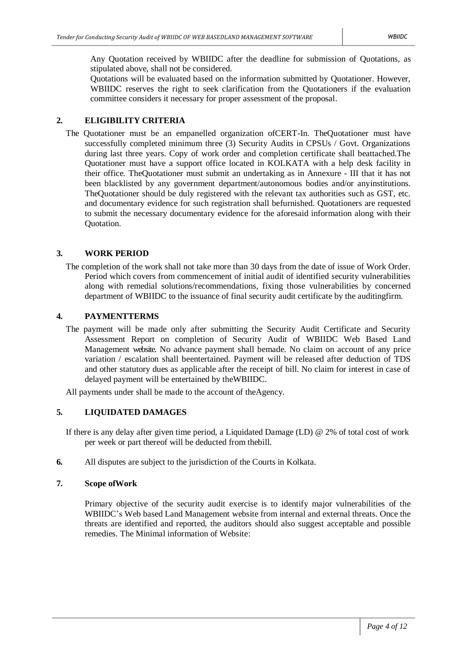Any Quotation received by WBIIDC after the deadline for submission of Quotations, as stipulated above, shall not be considered.

Quotations will be evaluated based on the information submitted by Quotationer. However, WBIIDC reserves the right to seek clarification from the Quotationers if the evaluation committee considers it necessary for proper assessment of the proposal.

#### **2. ELIGIBILITY CRITERIA**

The Quotationer must be an empanelled organization ofCERT-In. TheQuotationer must have successfully completed minimum three (3) Security Audits in CPSUs / Govt. Organizations during last three years. Copy of work order and completion certificate shall beattached.The Quotationer must have a support office located in KOLKATA with a help desk facility in their office. TheQuotationer must submit an undertaking as in Annexure - III that it has not been blacklisted by any government department/autonomous bodies and/or anyinstitutions. TheQuotationer should be duly registered with the relevant tax authorities such as GST, etc. and documentary evidence for such registration shall befurnished. Quotationers are requested to submit the necessary documentary evidence for the aforesaid information along with their Quotation.

#### **3. WORK PERIOD**

The completion of the work shall not take more than 30 days from the date of issue of Work Order. Period which covers from commencement of initial audit of identified security vulnerabilities along with remedial solutions/recommendations, fixing those vulnerabilities by concerned department of WBIIDC to the issuance of final security audit certificate by the auditingfirm.

#### **4. PAYMENTTERMS**

The payment will be made only after submitting the Security Audit Certificate and Security Assessment Report on completion of Security Audit of WBIIDC Web Based Land Management website. No advance payment shall bemade. No claim on account of any price variation / escalation shall beentertained. Payment will be released after deduction of TDS and other statutory dues as applicable after the receipt of bill. No claim for interest in case of delayed payment will be entertained by theWBIIDC.

All payments under shall be made to the account of theAgency.

#### **5. LIQUIDATED DAMAGES**

If there is any delay after given time period, a Liquidated Damage (LD) @ 2% of total cost of work per week or part thereof will be deducted from thebill.

**6.** All disputes are subject to the jurisdiction of the Courts in Kolkata.

#### **7. Scope ofWork**

Primary objective of the security audit exercise is to identify major vulnerabilities of the WBIIDC's Web based Land Management website from internal and external threats. Once the threats are identified and reported, the auditors should also suggest acceptable and possible remedies. The Minimal information of Website: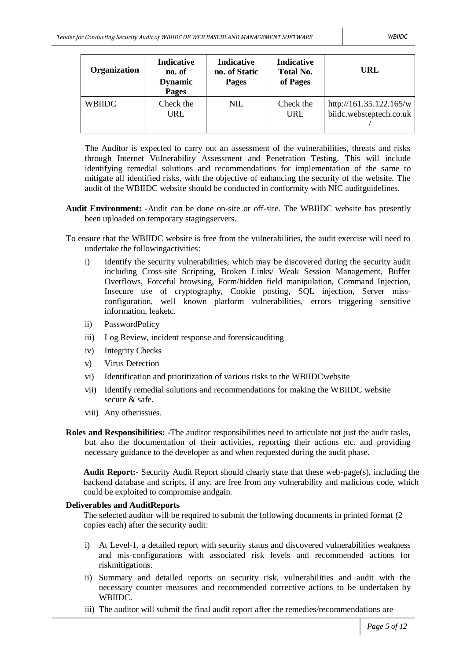| <b>Organization</b> | <b>Indicative</b><br>no. of<br><b>Dynamic</b><br><b>Pages</b> | Indicative<br>no. of Static<br><b>Pages</b> | Indicative<br><b>Total No.</b><br>of Pages | URL                                                |
|---------------------|---------------------------------------------------------------|---------------------------------------------|--------------------------------------------|----------------------------------------------------|
| <b>WBIIDC</b>       | Check the<br>URL                                              | <b>NIL</b>                                  | Check the<br>URL                           | http://161.35.122.165/w<br>biidc.websteptech.co.uk |

The Auditor is expected to carry out an assessment of the vulnerabilities, threats and risks through Internet Vulnerability Assessment and Penetration Testing. This will include identifying remedial solutions and recommendations for implementation of the same to mitigate all identified risks, with the objective of enhancing the security of the website. The audit of the WBIIDC website should be conducted in conformity with NIC auditguidelines.

- **Audit Environment: -**Audit can be done on-site or off-site. The WBIIDC website has presently been uploaded on temporary stagingservers.
- To ensure that the WBIIDC website is free from the vulnerabilities, the audit exercise will need to undertake the followingactivities:
	- i) Identify the security vulnerabilities, which may be discovered during the security audit including Cross-site Scripting, Broken Links/ Weak Session Management, Buffer Overflows, Forceful browsing, Form/hidden field manipulation, Command Injection, Insecure use of cryptography, Cookie posting, SQL injection, Server missconfiguration, well known platform vulnerabilities, errors triggering sensitive information, leaketc.
	- ii) PasswordPolicy
	- iii) Log Review, incident response and forensicauditing
	- iv) Integrity Checks
	- v) Virus Detection
	- vi) Identification and prioritization of various risks to the WBIIDCwebsite
	- vii) Identify remedial solutions and recommendations for making the WBIIDC website secure & safe.
	- viii) Any otherissues.
- **Roles and Responsibilities: -**The auditor responsibilities need to articulate not just the audit tasks, but also the documentation of their activities, reporting their actions etc. and providing necessary guidance to the developer as and when requested during the audit phase.

**Audit Report:-** Security Audit Report should clearly state that these web-page(s), including the backend database and scripts, if any, are free from any vulnerability and malicious code, which could be exploited to compromise andgain.

#### **Deliverables and AuditReports**

The selected auditor will be required to submit the following documents in printed format (2 copies each) after the security audit:

- i) At Level-1, a detailed report with security status and discovered vulnerabilities weakness and mis-configurations with associated risk levels and recommended actions for riskmitigations.
- ii) Summary and detailed reports on security risk, vulnerabilities and audit with the necessary counter measures and recommended corrective actions to be undertaken by WBIIDC.
- iii) The auditor will submit the final audit report after the remedies/recommendations are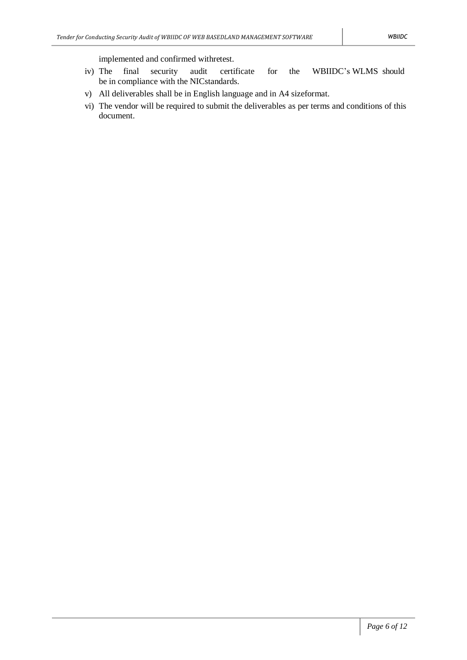implemented and confirmed withretest.

- iv) The final security audit certificate for the WBIIDC's WLMS should be in compliance with the NICstandards.
- v) All deliverables shall be in English language and in A4 sizeformat.
- vi) The vendor will be required to submit the deliverables as per terms and conditions of this document.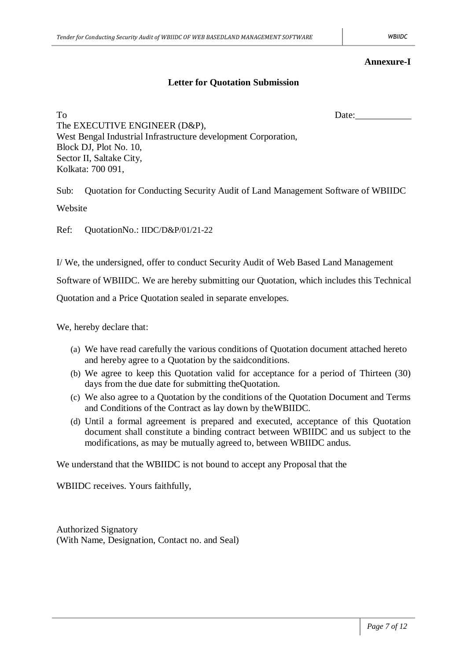#### **Annexure-I**

# **Letter for Quotation Submission**

To Date: The EXECUTIVE ENGINEER (D&P), West Bengal Industrial Infrastructure development Corporation, Block DJ, Plot No. 10, Sector II, Saltake City, Kolkata: 700 091,

Sub: Quotation for Conducting Security Audit of Land Management Software of WBIIDC

Website

Ref: QuotationNo.: IIDC/D&P/01/21-22

I/ We, the undersigned, offer to conduct Security Audit of Web Based Land Management

Software of WBIIDC. We are hereby submitting our Quotation, which includes this Technical

Quotation and a Price Quotation sealed in separate envelopes.

We, hereby declare that:

- (a) We have read carefully the various conditions of Quotation document attached hereto and hereby agree to a Quotation by the saidconditions.
- (b) We agree to keep this Quotation valid for acceptance for a period of Thirteen (30) days from the due date for submitting theQuotation.
- (c) We also agree to a Quotation by the conditions of the Quotation Document and Terms and Conditions of the Contract as lay down by theWBIIDC.
- (d) Until a formal agreement is prepared and executed, acceptance of this Quotation document shall constitute a binding contract between WBIIDC and us subject to the modifications, as may be mutually agreed to, between WBIIDC andus.

We understand that the WBIIDC is not bound to accept any Proposal that the

WBIIDC receives. Yours faithfully,

Authorized Signatory (With Name, Designation, Contact no. and Seal)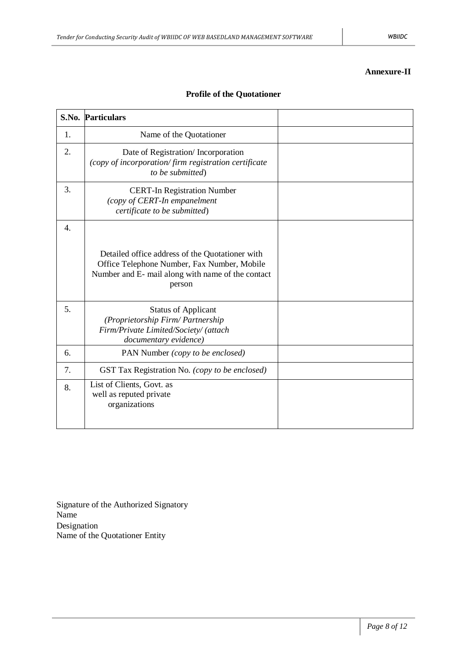### **Annexure-II**

|                  | <b>S.No. Particulars</b>                                                                                                                                      |  |
|------------------|---------------------------------------------------------------------------------------------------------------------------------------------------------------|--|
| 1.               | Name of the Quotationer                                                                                                                                       |  |
| 2.               | Date of Registration/Incorporation<br>(copy of incorporation/firm registration certificate<br>to be submitted)                                                |  |
| 3.               | <b>CERT-In Registration Number</b><br>(copy of CERT-In empanelment<br>certificate to be submitted)                                                            |  |
| $\overline{4}$ . | Detailed office address of the Quotationer with<br>Office Telephone Number, Fax Number, Mobile<br>Number and E- mail along with name of the contact<br>person |  |
| 5.               | <b>Status of Applicant</b><br>(Proprietorship Firm/Partnership<br>Firm/Private Limited/Society/ (attach<br>documentary evidence)                              |  |
| 6.               | PAN Number (copy to be enclosed)                                                                                                                              |  |
| 7.               | GST Tax Registration No. (copy to be enclosed)                                                                                                                |  |
| 8.               | List of Clients, Govt. as<br>well as reputed private<br>organizations                                                                                         |  |

# **Profile of the Quotationer**

Signature of the Authorized Signatory Name Designation Name of the Quotationer Entity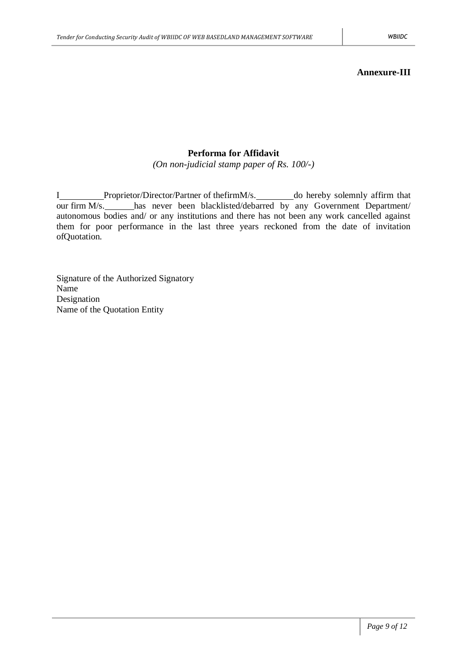# **Performa for Affidavit**

*(On non-judicial stamp paper of Rs. 100/-)*

I\_\_\_\_\_\_\_\_Proprietor/Director/Partner of thefirmM/s.\_\_\_\_\_\_\_\_do hereby solemnly affirm that our firm M/s. has never been blacklisted/debarred by any Government Department/ autonomous bodies and/ or any institutions and there has not been any work cancelled against them for poor performance in the last three years reckoned from the date of invitation ofQuotation.

Signature of the Authorized Signatory Name Designation Name of the Quotation Entity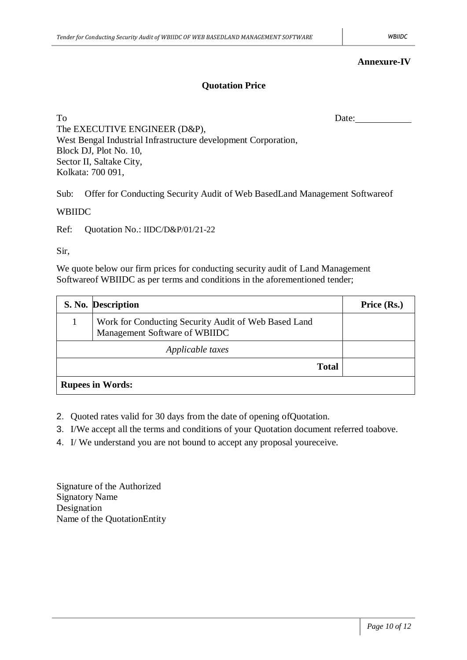### **Annexure-IV**

# **Quotation Price**

To Date: The EXECUTIVE ENGINEER (D&P), West Bengal Industrial Infrastructure development Corporation, Block DJ, Plot No. 10, Sector II, Saltake City, Kolkata: 700 091,

Sub: Offer for Conducting Security Audit of Web BasedLand Management Softwareof

#### WBIIDC

Ref: Quotation No.: IIDC/D&P/01/21-22

### Sir,

We quote below our firm prices for conducting security audit of Land Management Softwareof WBIIDC as per terms and conditions in the aforementioned tender;

|                         | S. No. Description                                                                    | Price (Rs.) |  |  |
|-------------------------|---------------------------------------------------------------------------------------|-------------|--|--|
|                         | Work for Conducting Security Audit of Web Based Land<br>Management Software of WBIIDC |             |  |  |
| Applicable taxes        |                                                                                       |             |  |  |
| <b>Total</b>            |                                                                                       |             |  |  |
| <b>Rupees in Words:</b> |                                                                                       |             |  |  |

- 2. Quoted rates valid for 30 days from the date of opening ofQuotation.
- 3. I/We accept all the terms and conditions of your Quotation document referred toabove.
- 4. I/ We understand you are not bound to accept any proposal youreceive.

Signature of the Authorized Signatory Name Designation Name of the QuotationEntity